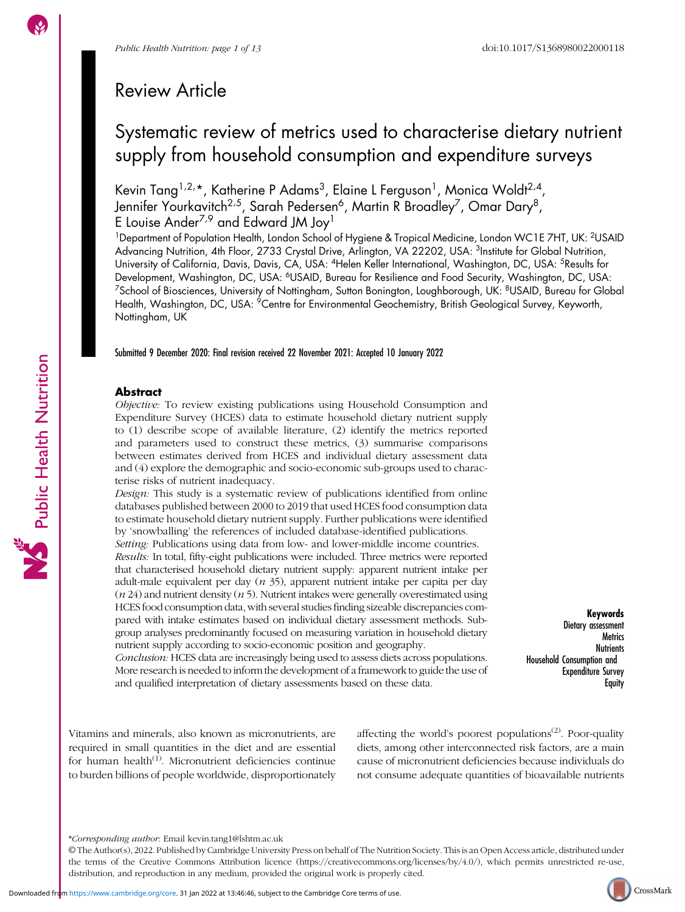Public Health Nutrition

# Review Article

# Systematic review of metrics used to characterise dietary nutrient supply from household consumption and expenditure surveys

Kevin Tang<sup>1,2,</sup>\*, Katherine P Adams<sup>3</sup>, Elaine L Ferguson<sup>1</sup>, Monica Woldt<sup>2,4</sup>, Jennifer Yourkavitch<sup>2,5</sup>, Sarah Pedersen<sup>6</sup>, Martin R Broadley<sup>7</sup>, Omar Dary<sup>8</sup>, E Louise Ander<sup>7,9</sup> and Edward JM Joy<sup>1</sup>

<sup>1</sup>Department of Population Health, London School of Hygiene & Tropical Medicine, London WC1E 7HT, UK: <sup>2</sup>USAID Advancing Nutrition, 4th Floor, 2733 Crystal Drive, Arlington, VA 22202, USA: <sup>3</sup>Institute for Global Nutrition, University of California, Davis, Davis, CA, USA: 4Helen Keller International, Washington, DC, USA: 5Results for Development, Washington, DC, USA: <sup>6</sup>USAID, Bureau for Resilience and Food Security, Washington, DC, USA: <sup>7</sup>School of Biosciences, University of Nottingham, Sutton Bonington, Loughborough, UK: <sup>8</sup>USAID, Bureau for Global Health, Washington, DC, USA: <sup>9</sup>Centre for Environmental Geochemistry, British Geological Survey, Keyworth, Nottingham, UK

Submitted 9 December 2020: Final revision received 22 November 2021: Accepted 10 January 2022

# Abstract

Objective: To review existing publications using Household Consumption and Expenditure Survey (HCES) data to estimate household dietary nutrient supply to (1) describe scope of available literature, (2) identify the metrics reported and parameters used to construct these metrics, (3) summarise comparisons between estimates derived from HCES and individual dietary assessment data and (4) explore the demographic and socio-economic sub-groups used to characterise risks of nutrient inadequacy.

Design: This study is a systematic review of publications identified from online databases published between 2000 to 2019 that used HCES food consumption data to estimate household dietary nutrient supply. Further publications were identified by 'snowballing' the references of included database-identified publications.

Setting: Publications using data from low- and lower-middle income countries. Results: In total, fifty-eight publications were included. Three metrics were reported that characterised household dietary nutrient supply: apparent nutrient intake per adult-male equivalent per day  $(n 35)$ , apparent nutrient intake per capita per day  $(n 24)$  and nutrient density  $(n 5)$ . Nutrient intakes were generally overestimated using HCES food consumption data, with several studies finding sizeable discrepancies compared with intake estimates based on individual dietary assessment methods. Subgroup analyses predominantly focused on measuring variation in household dietary nutrient supply according to socio-economic position and geography.

Conclusion: HCES data are increasingly being used to assess diets across populations. More research is needed to inform the development of a framework to guide the use of and qualified interpretation of dietary assessments based on these data.

Keywords Dietary assessment **Metrics Nutrients** Household Consumption and Expenditure Survey **Equity** 

Vitamins and minerals, also known as micronutrients, are required in small quantities in the diet and are essential for human health<sup>([1](#page-11-0))</sup>. Micronutrient deficiencies continue to burden billions of people worldwide, disproportionately affecting the world's poorest populations<sup> $(2)$  $(2)$  $(2)$ </sup>. Poor-quality diets, among other interconnected risk factors, are a main cause of micronutrient deficiencies because individuals do not consume adequate quantities of bioavailable nutrients



<sup>\*</sup>Corresponding author: Email [kevin.tang1@lshtm.ac.uk](mailto:kevin.tang1@lshtm.ac.uk)

<sup>©</sup> The Author(s), 2022. Published by Cambridge University Press on behalf of The Nutrition Society. This is an Open Access article, distributed under the terms of the Creative Commons Attribution licence [\(https://creativecommons.org/licenses/by/4.0/\)](https://creativecommons.org/licenses/by/4.0/), which permits unrestricted re-use, distribution, and reproduction in any medium, provided the original work is properly cited.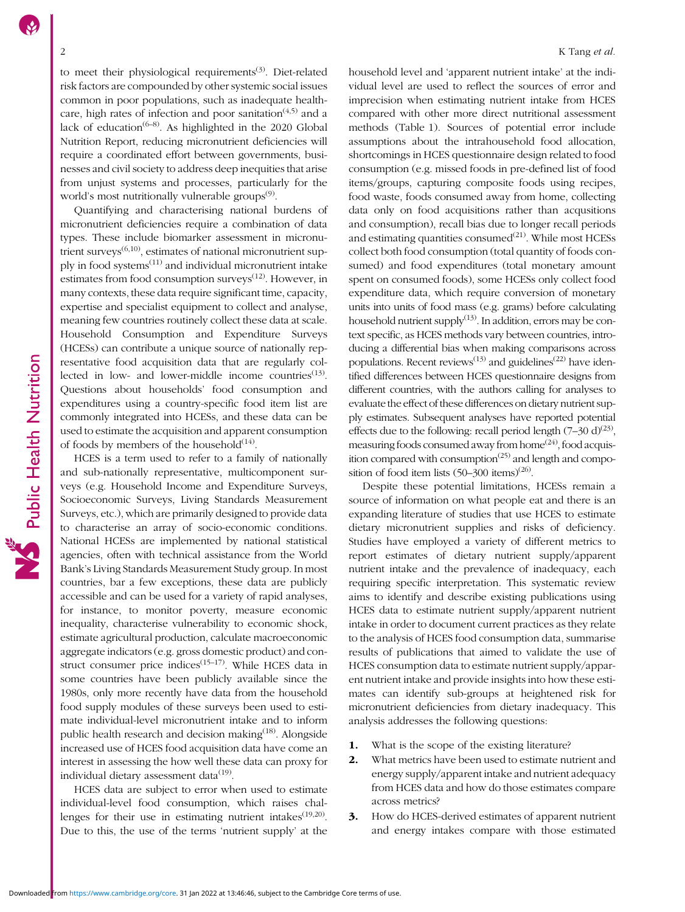to meet their physiological requirements<sup>([3](#page-11-0))</sup>. Diet-related risk factors are compounded by other systemic social issues common in poor populations, such as inadequate healthcare, high rates of infection and poor sanitation<sup> $(4,5)$ </sup> and a lack of education<sup> $(6-8)$  $(6-8)$  $(6-8)$  $(6-8)$ </sup>. As highlighted in the 2020 Global Nutrition Report, reducing micronutrient deficiencies will require a coordinated effort between governments, businesses and civil society to address deep inequities that arise from unjust systems and processes, particularly for the world's most nutritionally vulnerable groups<sup>[\(9\)](#page-11-0)</sup>.

Quantifying and characterising national burdens of micronutrient deficiencies require a combination of data types. These include biomarker assessment in micronutrient surveys $^{(6,10)}$  $^{(6,10)}$  $^{(6,10)}$ , estimates of national micronutrient supply in food systems[\(11\)](#page-11-0) and individual micronutrient intake estimates from food consumption surveys<sup>([12](#page-11-0))</sup>. However, in many contexts, these data require significant time, capacity, expertise and specialist equipment to collect and analyse, meaning few countries routinely collect these data at scale. Household Consumption and Expenditure Surveys (HCESs) can contribute a unique source of nationally representative food acquisition data that are regularly collected in low- and lower-middle income countries $(13)$  $(13)$ . Questions about households' food consumption and expenditures using a country-specific food item list are commonly integrated into HCESs, and these data can be used to estimate the acquisition and apparent consumption of foods by members of the household $^{(14)}$  $^{(14)}$  $^{(14)}$ .

HCES is a term used to refer to a family of nationally and sub-nationally representative, multicomponent surveys (e.g. Household Income and Expenditure Surveys, Socioeconomic Surveys, Living Standards Measurement Surveys, etc.), which are primarily designed to provide data to characterise an array of socio-economic conditions. National HCESs are implemented by national statistical agencies, often with technical assistance from the World Bank's Living Standards Measurement Study group. In most countries, bar a few exceptions, these data are publicly accessible and can be used for a variety of rapid analyses, for instance, to monitor poverty, measure economic inequality, characterise vulnerability to economic shock, estimate agricultural production, calculate macroeconomic aggregate indicators (e.g. gross domestic product) and con-struct consumer price indices<sup>([15](#page-11-0)-[17](#page-11-0))</sup>. While HCES data in some countries have been publicly available since the 1980s, only more recently have data from the household food supply modules of these surveys been used to estimate individual-level micronutrient intake and to inform public health research and decision making<sup>([18](#page-11-0))</sup>. Alongside increased use of HCES food acquisition data have come an interest in assessing the how well these data can proxy for individual dietary assessment data $^{(19)}$  $^{(19)}$  $^{(19)}$ .

HCES data are subject to error when used to estimate individual-level food consumption, which raises challenges for their use in estimating nutrient intakes $(19,20)$  $(19,20)$ . Due to this, the use of the terms 'nutrient supply' at the

household level and 'apparent nutrient intake' at the individual level are used to reflect the sources of error and imprecision when estimating nutrient intake from HCES compared with other more direct nutritional assessment methods (Table [1](#page-2-0)). Sources of potential error include assumptions about the intrahousehold food allocation, shortcomings in HCES questionnaire design related to food consumption (e.g. missed foods in pre-defined list of food items/groups, capturing composite foods using recipes, food waste, foods consumed away from home, collecting data only on food acquisitions rather than acqusitions and consumption), recall bias due to longer recall periods and estimating quantities consumed $^{(21)}$  $^{(21)}$  $^{(21)}$ . While most HCESs collect both food consumption (total quantity of foods consumed) and food expenditures (total monetary amount spent on consumed foods), some HCESs only collect food expenditure data, which require conversion of monetary units into units of food mass (e.g. grams) before calculating household nutrient supply $(13)$  $(13)$  $(13)$ . In addition, errors may be context specific, as HCES methods vary between countries, introducing a differential bias when making comparisons across populations. Recent reviews<sup> $(13)$  $(13)$ </sup> and guidelines<sup> $(22)$ </sup> have identified differences between HCES questionnaire designs from different countries, with the authors calling for analyses to evaluate the effect of these differences on dietary nutrient supply estimates. Subsequent analyses have reported potential effects due to the following: recall period length  $(7-30 \text{ d})^{(23)}$  $(7-30 \text{ d})^{(23)}$  $(7-30 \text{ d})^{(23)}$ , measuring foods consumed away from home<sup> $(24)$ </sup>, food acquisition compared with consumption $(25)$  and length and composition of food item lists  $(50-300 \text{ items})^{(26)}$  $(50-300 \text{ items})^{(26)}$  $(50-300 \text{ items})^{(26)}$ .

Despite these potential limitations, HCESs remain a source of information on what people eat and there is an expanding literature of studies that use HCES to estimate dietary micronutrient supplies and risks of deficiency. Studies have employed a variety of different metrics to report estimates of dietary nutrient supply/apparent nutrient intake and the prevalence of inadequacy, each requiring specific interpretation. This systematic review aims to identify and describe existing publications using HCES data to estimate nutrient supply/apparent nutrient intake in order to document current practices as they relate to the analysis of HCES food consumption data, summarise results of publications that aimed to validate the use of HCES consumption data to estimate nutrient supply/apparent nutrient intake and provide insights into how these estimates can identify sub-groups at heightened risk for micronutrient deficiencies from dietary inadequacy. This analysis addresses the following questions:

- 1. What is the scope of the existing literature?
- 2. What metrics have been used to estimate nutrient and energy supply/apparent intake and nutrient adequacy from HCES data and how do those estimates compare across metrics?
- 3. How do HCES-derived estimates of apparent nutrient and energy intakes compare with those estimated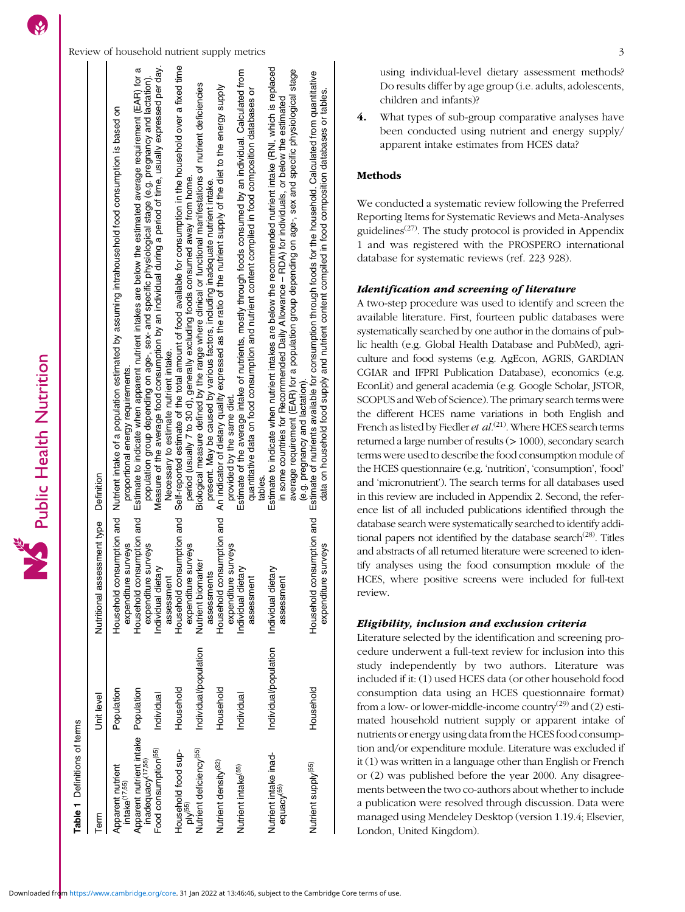**Table 1** Definitions of terms Definitions of terms

<span id="page-2-0"></span>

| lem                                                                  | Unit level            | Nutritional assessment type Definition                   |                                                                                                                                                                                                                                                                                                                                                                 |
|----------------------------------------------------------------------|-----------------------|----------------------------------------------------------|-----------------------------------------------------------------------------------------------------------------------------------------------------------------------------------------------------------------------------------------------------------------------------------------------------------------------------------------------------------------|
| Apparent nutrient<br>intake <sup>(17,55</sup> )                      | Population            | surveys<br>expenditure                                   | Household consumption and Nutrient intake of a population estimated by assuming intrahousehold food consumption is based on<br>proportional energy requirements.                                                                                                                                                                                                |
| Apparent nutrient intake Population<br>inadequacy <sup>(17,55)</sup> |                       | nsumption and<br>surveys<br>Household cor<br>expenditure | Estimate to indicate when apparent nutrient intakes are below the estimated average requirement (EAR) for a<br>population group depending on age-, sex- and specific physical stage (e.g. pregnancy and lactation).                                                                                                                                             |
| Food consumption <sup>(55)</sup>                                     | Individual            | Individual dietary<br>assessment                         | Measure of the average food consumption by an individual during a period of time, usually expressed per day.<br>Necessary to estimate nutrient intake.                                                                                                                                                                                                          |
| Household food sup-<br>$p$ l $V^{(55)}$                              | Household             | nsumption and<br>surveys<br>Household cor<br>expenditure | Self-reported estimate of the total amount of food available for consumption in the household over a fixed time<br>period (usually 7 to 30 d), generally excluding foods consumed away from home.                                                                                                                                                               |
| Nutrient deficiency <sup>(55)</sup>                                  | Individual/population | arker<br>assessments<br>Nutrient bioma                   | Biological measure defined by the range where clinical or functional manifestations of nutrient deficiencies<br>present. May be caused by various factors, including inadequate nutrient intake                                                                                                                                                                 |
| Nutrient density <sup>(32)</sup>                                     | Household             | Household consumption and<br>surveys<br>expenditure      | An indicator of dietary quality expressed as the ratio of the nutrient supply of the diet to the energy supply<br>provided by the same diet                                                                                                                                                                                                                     |
| Nutrient intake <sup>(55)</sup>                                      | Individual            | Individual dietary<br>assessment                         | Estimate of the average intake of nutrients, mostly through foods consumed by an individual. Calculated from<br>quantitative data on food consumption and nutrient content compiled in food composition databases or<br>ables                                                                                                                                   |
| Nutrient intake inad-<br>equacy <sup>(55)</sup>                      | Individual/population | Individual dietary<br>assessment                         | Estimate to indicate when nutrient intakes are below the recommended nutrient intake (RNI, which is replaced<br>average requirement (EAR) for a population group depending on age-, sex and specific physiological stage<br>in some countries for Recommended Daily Allowance - RDA) for individuals, or below the estimated<br>(e.g. pregnancy and lactation). |
| Nutrient supply <sup>(55)</sup>                                      | Household             | isumption and<br>surveys<br>Household cor<br>expenditure | Estimate of nutrients available for consumption through foods for the household. Calculated from quantitative<br>data on household food supply and nutrient content compiled in food composition databases or tables.                                                                                                                                           |

using individual-level dietary assessment methods? Do results differ by age group (i.e. adults, adolescents, children and infants)?

4. What types of sub-group comparative analyses have been conducted using nutrient and energy supply/ apparent intake estimates from HCES data?

# Methods

We conducted a systematic review following the Preferred Reporting Items for Systematic Reviews and Meta-Analyses guidelines<sup> $(27)$  $(27)$ </sup>. The study protocol is provided in Appendix [1](https://doi.org/10.1017/S1368980022000118) and was registered with the PROSPERO international database for systematic reviews (ref. 223 928).

# Identification and screening of literature

A two-step procedure was used to identify and screen the available literature. First, fourteen public databases were systematically searched by one author in the domains of public health (e.g. Global Health Database and PubMed), agriculture and food systems (e.g. AgEcon, AGRIS, GARDIAN CGIAR and IFPRI Publication Database), economics (e.g. EconLit) and general academia (e.g. Google Scholar, JSTOR, SCOPUS and Web of Science). The primary search terms were the different HCES name variations in both English and French as listed by Fiedler et  $al$ .<sup>[\(21\)](#page-11-0)</sup>. Where HCES search terms returned a large number of results (> 1000), secondary search terms were used to describe the food consumption module of the HCES questionnaire (e.g. 'nutrition', 'consumption', 'food' and 'micronutrient'). The search terms for all databases used in this review are included in Appendix [2.](https://doi.org/10.1017/S1368980022000118) Second, the reference list of all included publications identified through the database search were systematically searched to identify addi-tional papers not identified by the database search<sup>([28](#page-12-0))</sup>. Titles and abstracts of all returned literature were screened to identify analyses using the food consumption module of the HCES, where positive screens were included for full-text review.

# Eligibility, inclusion and exclusion criteria

Literature selected by the identification and screening procedure underwent a full-text review for inclusion into this study independently by two authors. Literature was included if it: (1) used HCES data (or other household food consumption data using an HCES questionnaire format) from a low- or lower-middle-income country<sup>[\(29](#page-12-0))</sup> and (2) estimated household nutrient supply or apparent intake of nutrients or energy using data from the HCES food consumption and/or expenditure module. Literature was excluded if it (1) was written in a language other than English or French or (2) was published before the year 2000. Any disagreements between the two co-authors about whether to include a publication were resolved through discussion. Data were managed using Mendeley Desktop (version 1.19.4; Elsevier, London, United Kingdom).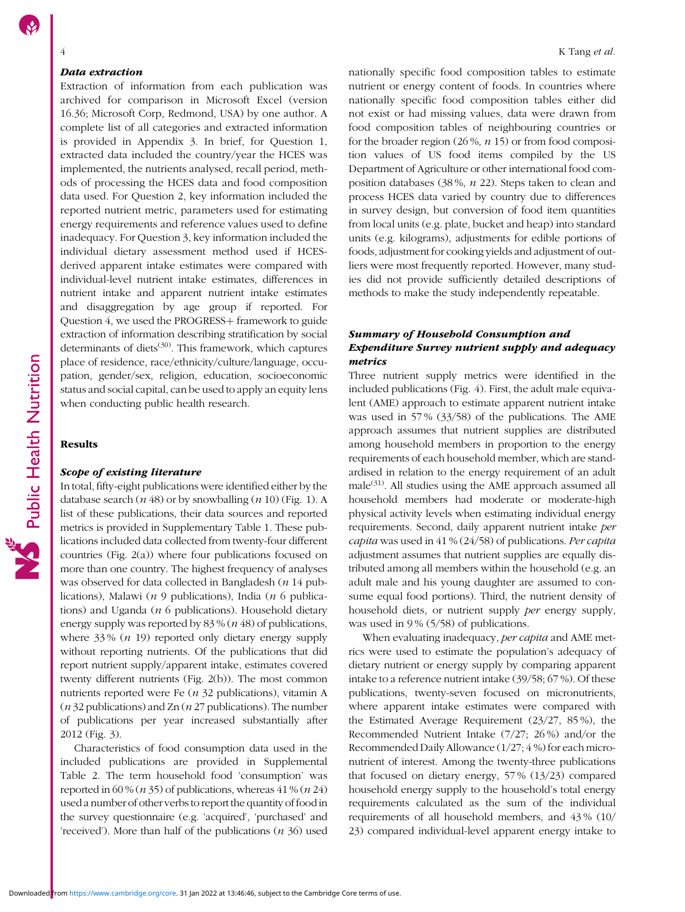#### Data extraction

Extraction of information from each publication was archived for comparison in Microsoft Excel (version 16.36; Microsoft Corp, Redmond, USA) by one author. A complete list of all categories and extracted information is provided in Appendix [3.](https://doi.org/10.1017/S1368980022000118) In brief, for Question 1, extracted data included the country/year the HCES was implemented, the nutrients analysed, recall period, methods of processing the HCES data and food composition data used. For Question 2, key information included the reported nutrient metric, parameters used for estimating energy requirements and reference values used to define inadequacy. For Question 3, key information included the individual dietary assessment method used if HCESderived apparent intake estimates were compared with individual-level nutrient intake estimates, differences in nutrient intake and apparent nutrient intake estimates and disaggregation by age group if reported. For Question 4, we used the PROGRESS+ framework to guide extraction of information describing stratification by social determinants of diets $(30)$  $(30)$  $(30)$ . This framework, which captures place of residence, race/ethnicity/culture/language, occupation, gender/sex, religion, education, socioeconomic status and social capital, can be used to apply an equity lens when conducting public health research.

## Results

#### Scope of existing literature

In total, fifty-eight publications were identified either by the database search ( $n$  48) or by snowballing ( $n$  10) (Fig. [1\)](#page-4-0). A list of these publications, their data sources and reported metrics is provided in Supplementary Table [1](https://doi.org/10.1017/S1368980022000118). These publications included data collected from twenty-four different countries (Fig. [2\(](#page-5-0)a)) where four publications focused on more than one country. The highest frequency of analyses was observed for data collected in Bangladesh (*n* 14 publications), Malawi ( $n \theta$  publications), India ( $n \theta$  publications) and Uganda ( $n$  6 publications). Household dietary energy supply was reported by 83 % (n 48) of publications, where  $33\%$  (*n* 19) reported only dietary energy supply without reporting nutrients. Of the publications that did report nutrient supply/apparent intake, estimates covered twenty different nutrients (Fig. [2](#page-5-0)(b)). The most common nutrients reported were Fe (n 32 publications), vitamin A ( $n$  32 publications) and Zn ( $n$  27 publications). The number of publications per year increased substantially after 2012 (Fig. [3](#page-6-0)).

Characteristics of food consumption data used in the included publications are provided in Supplemental Table [2.](https://doi.org/10.1017/S1368980022000118) The term household food 'consumption' was reported in 60 % ( $n$  35) of publications, whereas 41 % ( $n$  24) used a number of other verbs to report the quantity of food in the survey questionnaire (e.g. 'acquired', 'purchased' and 'received'). More than half of the publications  $(n 36)$  used nationally specific food composition tables to estimate nutrient or energy content of foods. In countries where nationally specific food composition tables either did not exist or had missing values, data were drawn from food composition tables of neighbouring countries or for the broader region  $(26\%, n 15)$  or from food composition values of US food items compiled by the US Department of Agriculture or other international food composition databases (38 %, n 22). Steps taken to clean and process HCES data varied by country due to differences in survey design, but conversion of food item quantities from local units (e.g. plate, bucket and heap) into standard units (e.g. kilograms), adjustments for edible portions of foods, adjustment for cooking yields and adjustment of outliers were most frequently reported. However, many studies did not provide sufficiently detailed descriptions of methods to make the study independently repeatable.

# Summary of Household Consumption and Expenditure Survey nutrient supply and adequacy metrics

Three nutrient supply metrics were identified in the included publications (Fig. [4](#page-7-0)). First, the adult male equivalent (AME) approach to estimate apparent nutrient intake was used in 57 % (33/58) of the publications. The AME approach assumes that nutrient supplies are distributed among household members in proportion to the energy requirements of each household member, which are standardised in relation to the energy requirement of an adult male $^{(31)}$  $^{(31)}$  $^{(31)}$ . All studies using the AME approach assumed all household members had moderate or moderate-high physical activity levels when estimating individual energy requirements. Second, daily apparent nutrient intake per capita was used in 41 % (24/58) of publications. Per capita adjustment assumes that nutrient supplies are equally distributed among all members within the household (e.g. an adult male and his young daughter are assumed to consume equal food portions). Third, the nutrient density of household diets, or nutrient supply *per* energy supply, was used in 9% (5/58) of publications.

When evaluating inadequacy, *per capita* and AME metrics were used to estimate the population's adequacy of dietary nutrient or energy supply by comparing apparent intake to a reference nutrient intake (39/58; 67 %). Of these publications, twenty-seven focused on micronutrients, where apparent intake estimates were compared with the Estimated Average Requirement (23/27, 85 %), the Recommended Nutrient Intake (7/27; 26 %) and/or the Recommended Daily Allowance (1/27; 4 %) for each micronutrient of interest. Among the twenty-three publications that focused on dietary energy, 57 % (13/23) compared household energy supply to the household's total energy requirements calculated as the sum of the individual requirements of all household members, and 43 % (10/ 23) compared individual-level apparent energy intake to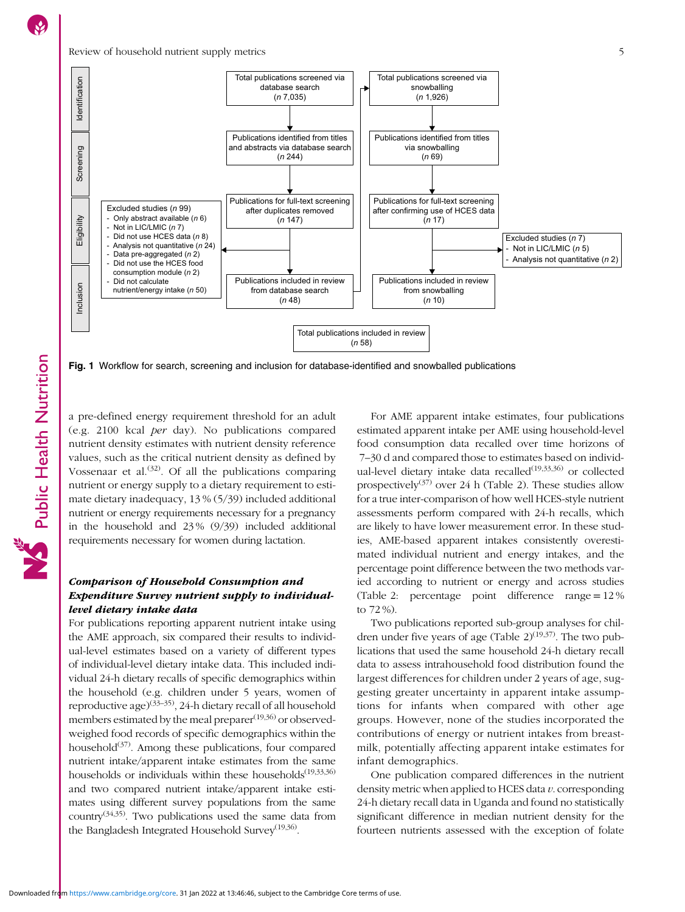Public Health Nutrition

<span id="page-4-0"></span>

Fig. 1 Workflow for search, screening and inclusion for database-identified and snowballed publications

a pre-defined energy requirement threshold for an adult (e.g. 2100 kcal per day). No publications compared nutrient density estimates with nutrient density reference values, such as the critical nutrient density as defined by Vossenaar et al.<sup>([32](#page-12-0))</sup>. Of all the publications comparing nutrient or energy supply to a dietary requirement to estimate dietary inadequacy, 13 % (5/39) included additional nutrient or energy requirements necessary for a pregnancy in the household and 23 % (9/39) included additional requirements necessary for women during lactation.

# Comparison of Household Consumption and Expenditure Survey nutrient supply to individuallevel dietary intake data

For publications reporting apparent nutrient intake using the AME approach, six compared their results to individual-level estimates based on a variety of different types of individual-level dietary intake data. This included individual 24-h dietary recalls of specific demographics within the household (e.g. children under 5 years, women of reproductive age)([33](#page-12-0)–[35](#page-12-0)), 24-h dietary recall of all household members estimated by the meal preparer<sup>([19,](#page-11-0)[36\)](#page-12-0)</sup> or observedweighed food records of specific demographics within the household $(37)$  $(37)$  $(37)$ . Among these publications, four compared nutrient intake/apparent intake estimates from the same households or individuals within these households<sup> $(19,33,36)$  $(19,33,36)$ </sup> and two compared nutrient intake/apparent intake estimates using different survey populations from the same country<sup> $(34,35)$ </sup>. Two publications used the same data from the Bangladesh Integrated Household Survey<sup> $(19,36)$  $(19,36)$ </sup>.

For AME apparent intake estimates, four publications estimated apparent intake per AME using household-level food consumption data recalled over time horizons of 7–30 d and compared those to estimates based on individ-ual-level dietary intake data recalled<sup>[\(19](#page-11-0),[33](#page-12-0),[36\)](#page-12-0)</sup> or collected prospectively([37](#page-12-0)) over 24 h (Table [2](#page-8-0)). These studies allow for a true inter-comparison of how well HCES-style nutrient assessments perform compared with 24-h recalls, which are likely to have lower measurement error. In these studies, AME-based apparent intakes consistently overestimated individual nutrient and energy intakes, and the percentage point difference between the two methods varied according to nutrient or energy and across studies (Table [2](#page-8-0): percentage point difference range = 12 % to 72 %).

Two publications reported sub-group analyses for children under five years of age (Table  $2)^{(19,37)}$  $2)^{(19,37)}$  $2)^{(19,37)}$  $2)^{(19,37)}$ . The two publications that used the same household 24-h dietary recall data to assess intrahousehold food distribution found the largest differences for children under 2 years of age, suggesting greater uncertainty in apparent intake assumptions for infants when compared with other age groups. However, none of the studies incorporated the contributions of energy or nutrient intakes from breastmilk, potentially affecting apparent intake estimates for infant demographics.

One publication compared differences in the nutrient density metric when applied to HCES data  $v$ . corresponding 24-h dietary recall data in Uganda and found no statistically significant difference in median nutrient density for the fourteen nutrients assessed with the exception of folate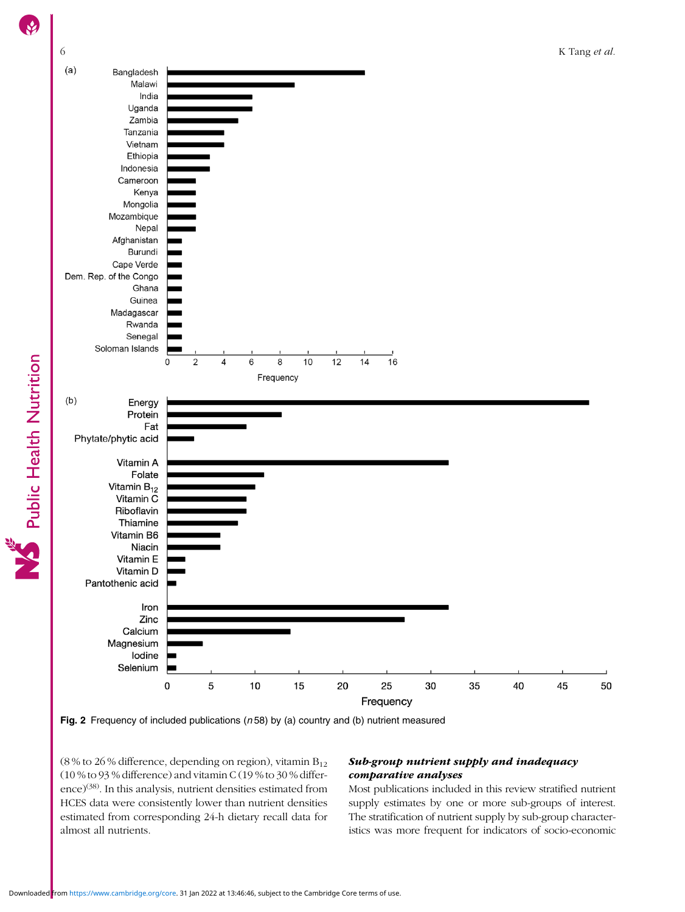<span id="page-5-0"></span>



(8 % to 26 % difference, depending on region), vitamin  $B_{12}$ (10 % to 93 % difference) and vitamin C (19 % to 30 % differ-ence)<sup>[\(38\)](#page-12-0)</sup>. In this analysis, nutrient densities estimated from HCES data were consistently lower than nutrient densities estimated from corresponding 24-h dietary recall data for almost all nutrients.

# Sub-group nutrient supply and inadequacy comparative analyses

Most publications included in this review stratified nutrient supply estimates by one or more sub-groups of interest. The stratification of nutrient supply by sub-group characteristics was more frequent for indicators of socio-economic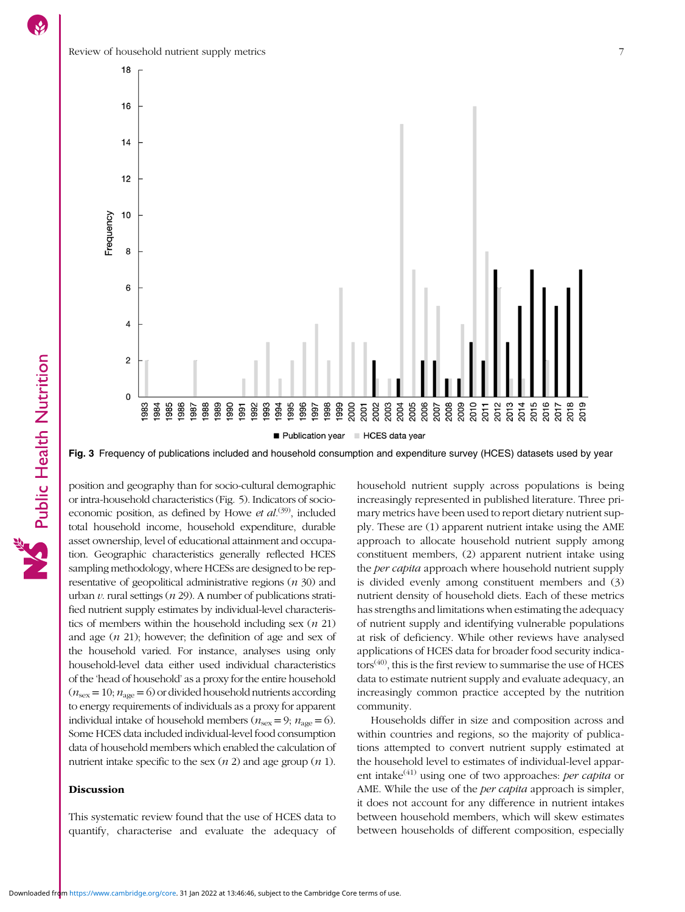<span id="page-6-0"></span>Review of household nutrient supply metrics 7



Fig. 3 Frequency of publications included and household consumption and expenditure survey (HCES) datasets used by year

position and geography than for socio-cultural demographic or intra-household characteristics (Fig. [5](#page-9-0)). Indicators of socioeconomic position, as defined by Howe et  $al^{(39)}$  $al^{(39)}$  $al^{(39)}$ , included total household income, household expenditure, durable asset ownership, level of educational attainment and occupation. Geographic characteristics generally reflected HCES sampling methodology, where HCESs are designed to be representative of geopolitical administrative regions  $(n 30)$  and urban  $v$ . rural settings ( $n$  29). A number of publications stratified nutrient supply estimates by individual-level characteristics of members within the household including sex  $(n 21)$ and age  $(n 21)$ ; however; the definition of age and sex of the household varied. For instance, analyses using only household-level data either used individual characteristics of the 'head of household' as a proxy for the entire household  $(n_{\text{sex}} = 10; n_{\text{age}} = 6)$  or divided household nutrients according to energy requirements of individuals as a proxy for apparent individual intake of household members ( $n_{\text{sex}} = 9$ ;  $n_{\text{age}} = 6$ ). Some HCES data included individual-level food consumption data of household members which enabled the calculation of nutrient intake specific to the sex  $(n 2)$  and age group  $(n 1)$ .

### **Discussion**

This systematic review found that the use of HCES data to quantify, characterise and evaluate the adequacy of household nutrient supply across populations is being increasingly represented in published literature. Three primary metrics have been used to report dietary nutrient supply. These are (1) apparent nutrient intake using the AME approach to allocate household nutrient supply among constituent members, (2) apparent nutrient intake using the *per capita* approach where household nutrient supply is divided evenly among constituent members and (3) nutrient density of household diets. Each of these metrics has strengths and limitations when estimating the adequacy of nutrient supply and identifying vulnerable populations at risk of deficiency. While other reviews have analysed applications of HCES data for broader food security indica- $tors<sup>(40)</sup>$  $tors<sup>(40)</sup>$  $tors<sup>(40)</sup>$ , this is the first review to summarise the use of HCES data to estimate nutrient supply and evaluate adequacy, an increasingly common practice accepted by the nutrition community.

Households differ in size and composition across and within countries and regions, so the majority of publications attempted to convert nutrient supply estimated at the household level to estimates of individual-level apparent intake $^{(41)}$  $^{(41)}$  $^{(41)}$  using one of two approaches: *per capita* or AME. While the use of the per capita approach is simpler, it does not account for any difference in nutrient intakes between household members, which will skew estimates between households of different composition, especially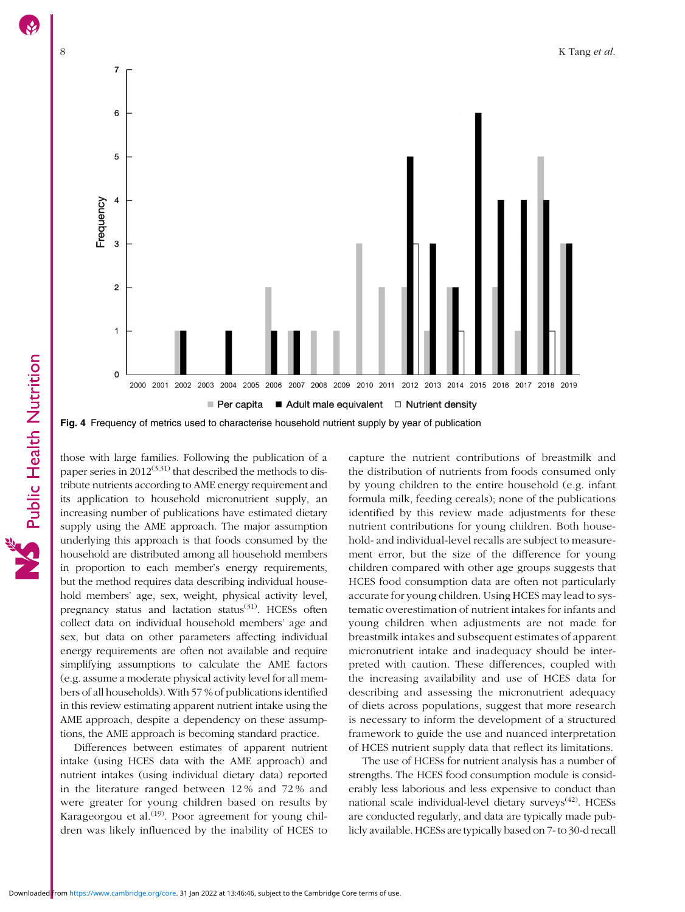<span id="page-7-0"></span>

Fig. 4 Frequency of metrics used to characterise household nutrient supply by year of publication

those with large families. Following the publication of a paper series in  $2012^{(3,31)}$  $2012^{(3,31)}$  $2012^{(3,31)}$  $2012^{(3,31)}$  that described the methods to distribute nutrients according to AME energy requirement and its application to household micronutrient supply, an increasing number of publications have estimated dietary supply using the AME approach. The major assumption underlying this approach is that foods consumed by the household are distributed among all household members in proportion to each member's energy requirements, but the method requires data describing individual household members' age, sex, weight, physical activity level, pregnancy status and lactation status<sup>([31](#page-12-0))</sup>. HCESs often collect data on individual household members' age and sex, but data on other parameters affecting individual energy requirements are often not available and require simplifying assumptions to calculate the AME factors (e.g. assume a moderate physical activity level for all members of all households). With 57 % of publications identified in this review estimating apparent nutrient intake using the AME approach, despite a dependency on these assumptions, the AME approach is becoming standard practice.

Differences between estimates of apparent nutrient intake (using HCES data with the AME approach) and nutrient intakes (using individual dietary data) reported in the literature ranged between 12 % and 72 % and were greater for young children based on results by Karageorgou et al.<sup>([19](#page-11-0))</sup>. Poor agreement for young children was likely influenced by the inability of HCES to

capture the nutrient contributions of breastmilk and the distribution of nutrients from foods consumed only by young children to the entire household (e.g. infant formula milk, feeding cereals); none of the publications identified by this review made adjustments for these nutrient contributions for young children. Both household- and individual-level recalls are subject to measurement error, but the size of the difference for young children compared with other age groups suggests that HCES food consumption data are often not particularly accurate for young children. Using HCES may lead to systematic overestimation of nutrient intakes for infants and young children when adjustments are not made for breastmilk intakes and subsequent estimates of apparent micronutrient intake and inadequacy should be interpreted with caution. These differences, coupled with the increasing availability and use of HCES data for describing and assessing the micronutrient adequacy of diets across populations, suggest that more research is necessary to inform the development of a structured framework to guide the use and nuanced interpretation of HCES nutrient supply data that reflect its limitations.

The use of HCESs for nutrient analysis has a number of strengths. The HCES food consumption module is considerably less laborious and less expensive to conduct than national scale individual-level dietary surveys<sup>([42](#page-12-0))</sup>. HCESs are conducted regularly, and data are typically made publicly available. HCESs are typically based on 7- to 30-d recall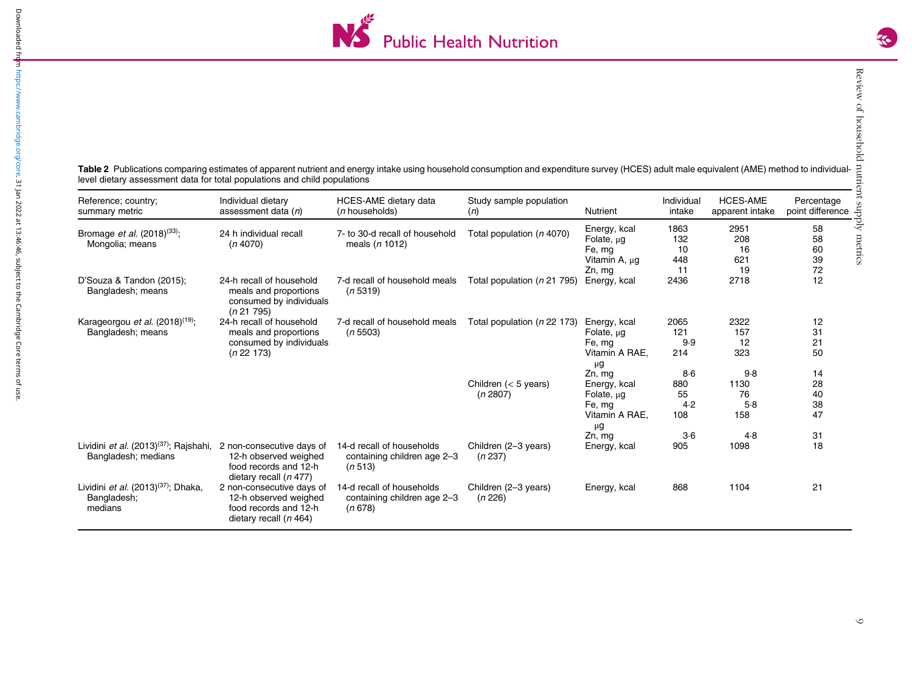

<span id="page-8-0"></span>Table 2 Publications comparing estimates of apparent nutrient and energy intake using household consumption and expenditure survey (HCES) adult male equivalent (AME) method to individuallevel dietary assessment data for total populations and child populations

| Reference; country;<br>summary metric                                            | Individual dietary<br>assessment data (n)                                                               | HCES-AME dietary data<br>( <i>n</i> households)                     | Study sample population<br>(n)     | <b>Nutrient</b>                                                                            | Individual<br>intake               | <b>HCES-AME</b><br>apparent intake | Percentage<br>point difference |
|----------------------------------------------------------------------------------|---------------------------------------------------------------------------------------------------------|---------------------------------------------------------------------|------------------------------------|--------------------------------------------------------------------------------------------|------------------------------------|------------------------------------|--------------------------------|
| Bromage <i>et al.</i> $(2018)^{(33)}$ ;<br>Mongolia; means                       | 24 h individual recall<br>(n4070)                                                                       | 7- to 30-d recall of household<br>meals $(n 1012)$                  | Total population (n 4070)          | Energy, kcal<br>Folate, $\mu$ g<br>Fe, mg<br>Vitamin A, µg<br>Zn, mg                       | 1863<br>132<br>10<br>448<br>11     | 2951<br>208<br>16<br>621<br>19     | 58<br>58<br>60<br>39<br>72     |
| D'Souza & Tandon (2015);<br>Bangladesh; means                                    | 24-h recall of household<br>meals and proportions<br>consumed by individuals<br>(n 21 795)              | 7-d recall of household meals<br>(n 5319)                           | Total population (n 21 795)        | Energy, kcal                                                                               | 2436                               | 2718                               | 12                             |
| Karageorgou et al. $(2018)^{(19)}$ ;<br>Bangladesh; means                        | 24-h recall of household<br>meals and proportions<br>consumed by individuals<br>(n 22 173)              | 7-d recall of household meals<br>(n 5503)                           | Total population (n 22 173)        | Energy, kcal<br>Folate, $\mu$ g<br>Fe, mg<br>Vitamin A RAE,<br>$\mu$ g                     | 2065<br>121<br>9.9<br>214<br>$8-6$ | 2322<br>157<br>12<br>323<br>9.8    | 12<br>31<br>21<br>50<br>14     |
|                                                                                  |                                                                                                         |                                                                     | Children $(< 5$ years)<br>(n 2807) | Zn, mg<br>Energy, kcal<br>Folate, $\mu$ g<br>Fe, mg<br>Vitamin A RAE.<br>$\mu$ g<br>Zn, mg | 880<br>55<br>4.2<br>108<br>$3-6$   | 1130<br>76<br>5.8<br>158<br>4.8    | 28<br>40<br>38<br>47<br>31     |
| Lividini <i>et al.</i> (2013) <sup>(37)</sup> ; Rajshahi,<br>Bangladesh; medians | 2 non-consecutive days of<br>12-h observed weighed<br>food records and 12-h<br>dietary recall $(n 477)$ | 14-d recall of households<br>containing children age 2-3<br>(n 513) | Children (2-3 years)<br>(n 237)    | Energy, kcal                                                                               | 905                                | 1098                               | 18                             |
| Lividini et al. (2013) <sup>(37)</sup> ; Dhaka,<br>Bangladesh;<br>medians        | 2 non-consecutive days of<br>12-h observed weighed<br>food records and 12-h<br>dietary recall $(n 464)$ | 14-d recall of households<br>containing children age 2-3<br>(n 678) | Children (2-3 years)<br>(n 226)    | Energy, kcal                                                                               | 868                                | 1104                               | 21                             |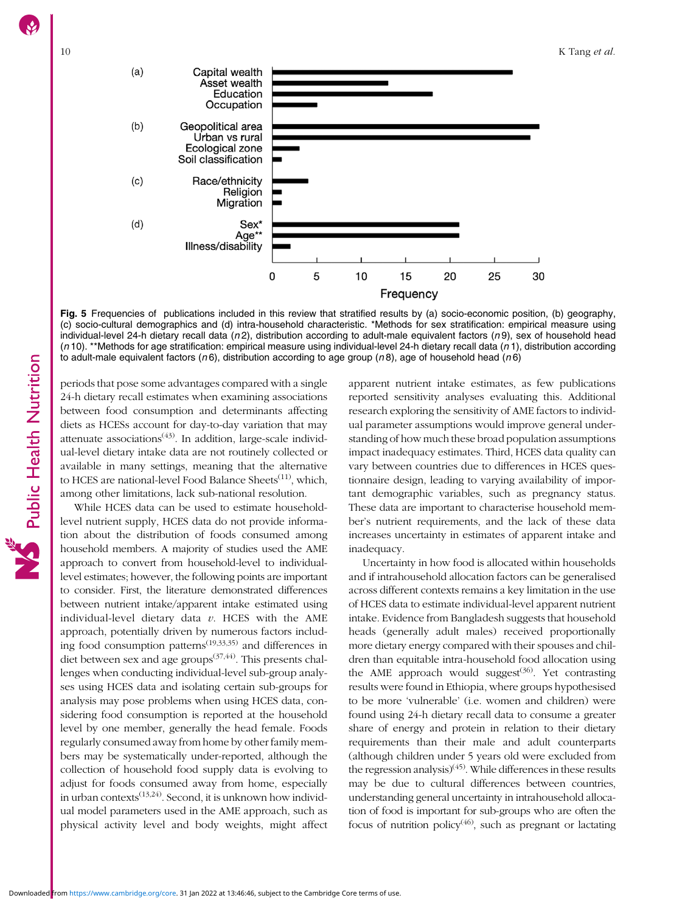<span id="page-9-0"></span>

Fig. 5 Frequencies of publications included in this review that stratified results by (a) socio-economic position, (b) geography, (c) socio-cultural demographics and (d) intra-household characteristic. \*Methods for sex stratification: empirical measure using individual-level 24-h dietary recall data  $(n2)$ , distribution according to adult-male equivalent factors  $(n9)$ , sex of household head  $(n 10)$ . \*\*Methods for age stratification: empirical measure using individual-level 24-h dietary recall data  $(n 1)$ , distribution according to adult-male equivalent factors ( $n6$ ), distribution according to age group ( $n8$ ), age of household head ( $n6$ )

periods that pose some advantages compared with a single 24-h dietary recall estimates when examining associations between food consumption and determinants affecting diets as HCESs account for day-to-day variation that may attenuate associations<sup> $(43)$  $(43)$ </sup>. In addition, large-scale individual-level dietary intake data are not routinely collected or available in many settings, meaning that the alternative to HCES are national-level Food Balance Sheets<sup>[\(11\)](#page-11-0)</sup>, which, among other limitations, lack sub-national resolution.

While HCES data can be used to estimate householdlevel nutrient supply, HCES data do not provide information about the distribution of foods consumed among household members. A majority of studies used the AME approach to convert from household-level to individuallevel estimates; however, the following points are important to consider. First, the literature demonstrated differences between nutrient intake/apparent intake estimated using individual-level dietary data  $v$ . HCES with the AME approach, potentially driven by numerous factors including food consumption patterns<sup> $(19,33,35)$  $(19,33,35)$  $(19,33,35)$  $(19,33,35)$ </sup> and differences in diet between sex and age groups<sup>([37](#page-12-0),[44\)](#page-12-0)</sup>. This presents challenges when conducting individual-level sub-group analyses using HCES data and isolating certain sub-groups for analysis may pose problems when using HCES data, considering food consumption is reported at the household level by one member, generally the head female. Foods regularly consumed away from home by other family members may be systematically under-reported, although the collection of household food supply data is evolving to adjust for foods consumed away from home, especially in urban contexts $(13,24)$  $(13,24)$  $(13,24)$ . Second, it is unknown how individual model parameters used in the AME approach, such as physical activity level and body weights, might affect

apparent nutrient intake estimates, as few publications reported sensitivity analyses evaluating this. Additional research exploring the sensitivity of AME factors to individual parameter assumptions would improve general understanding of how much these broad population assumptions impact inadequacy estimates. Third, HCES data quality can vary between countries due to differences in HCES questionnaire design, leading to varying availability of important demographic variables, such as pregnancy status. These data are important to characterise household member's nutrient requirements, and the lack of these data increases uncertainty in estimates of apparent intake and inadequacy.

Uncertainty in how food is allocated within households and if intrahousehold allocation factors can be generalised across different contexts remains a key limitation in the use of HCES data to estimate individual-level apparent nutrient intake. Evidence from Bangladesh suggests that household heads (generally adult males) received proportionally more dietary energy compared with their spouses and children than equitable intra-household food allocation using the AME approach would suggest $(36)$  $(36)$  $(36)$ . Yet contrasting results were found in Ethiopia, where groups hypothesised to be more 'vulnerable' (i.e. women and children) were found using 24-h dietary recall data to consume a greater share of energy and protein in relation to their dietary requirements than their male and adult counterparts (although children under 5 years old were excluded from the regression analysis)<sup>([45](#page-12-0))</sup>. While differences in these results may be due to cultural differences between countries, understanding general uncertainty in intrahousehold allocation of food is important for sub-groups who are often the focus of nutrition policy<sup>[\(46](#page-12-0))</sup>, such as pregnant or lactating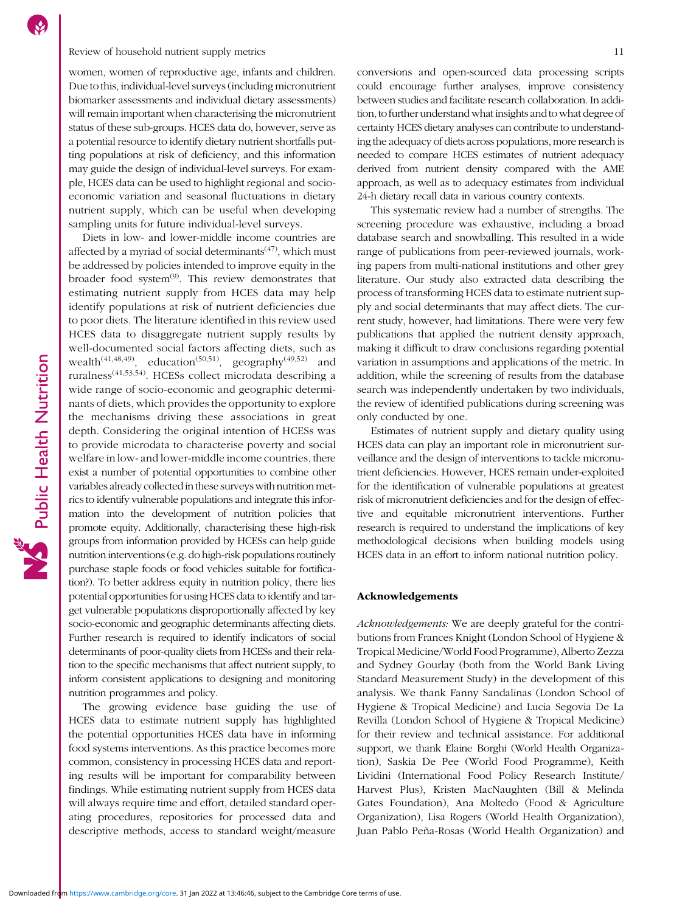# Review of household nutrient supply metrics 11

women, women of reproductive age, infants and children. Due to this, individual-level surveys (including micronutrient biomarker assessments and individual dietary assessments) will remain important when characterising the micronutrient status of these sub-groups. HCES data do, however, serve as a potential resource to identify dietary nutrient shortfalls putting populations at risk of deficiency, and this information may guide the design of individual-level surveys. For example, HCES data can be used to highlight regional and socioeconomic variation and seasonal fluctuations in dietary nutrient supply, which can be useful when developing sampling units for future individual-level surveys.

Diets in low- and lower-middle income countries are affected by a myriad of social determinants $(47)$ , which must be addressed by policies intended to improve equity in the broader food system $^{(9)}$  $^{(9)}$  $^{(9)}$ . This review demonstrates that estimating nutrient supply from HCES data may help identify populations at risk of nutrient deficiencies due to poor diets. The literature identified in this review used HCES data to disaggregate nutrient supply results by well-documented social factors affecting diets, such as wealth<sup>[\(41](#page-12-0),[48,49](#page-12-0))</sup>, education<sup>([50,51](#page-12-0))</sup>, geography<sup>[\(49](#page-12-0),[52\)](#page-12-0)</sup> and ruralness([41,53,54](#page-12-0)). HCESs collect microdata describing a wide range of socio-economic and geographic determinants of diets, which provides the opportunity to explore the mechanisms driving these associations in great depth. Considering the original intention of HCESs was to provide microdata to characterise poverty and social welfare in low- and lower-middle income countries, there exist a number of potential opportunities to combine other variables already collected in these surveys with nutrition metrics to identify vulnerable populations and integrate this information into the development of nutrition policies that promote equity. Additionally, characterising these high-risk groups from information provided by HCESs can help guide nutrition interventions (e.g. do high-risk populations routinely purchase staple foods or food vehicles suitable for fortification?). To better address equity in nutrition policy, there lies potential opportunities for using HCES data to identify and target vulnerable populations disproportionally affected by key socio-economic and geographic determinants affecting diets. Further research is required to identify indicators of social determinants of poor-quality diets from HCESs and their relation to the specific mechanisms that affect nutrient supply, to inform consistent applications to designing and monitoring nutrition programmes and policy.

Public Health Nutrition

The growing evidence base guiding the use of HCES data to estimate nutrient supply has highlighted the potential opportunities HCES data have in informing food systems interventions. As this practice becomes more common, consistency in processing HCES data and reporting results will be important for comparability between findings. While estimating nutrient supply from HCES data will always require time and effort, detailed standard operating procedures, repositories for processed data and descriptive methods, access to standard weight/measure

conversions and open-sourced data processing scripts could encourage further analyses, improve consistency between studies and facilitate research collaboration. In addition, to further understand what insights and to what degree of certainty HCES dietary analyses can contribute to understanding the adequacy of diets across populations, more research is needed to compare HCES estimates of nutrient adequacy derived from nutrient density compared with the AME approach, as well as to adequacy estimates from individual 24-h dietary recall data in various country contexts.

This systematic review had a number of strengths. The screening procedure was exhaustive, including a broad database search and snowballing. This resulted in a wide range of publications from peer-reviewed journals, working papers from multi-national institutions and other grey literature. Our study also extracted data describing the process of transforming HCES data to estimate nutrient supply and social determinants that may affect diets. The current study, however, had limitations. There were very few publications that applied the nutrient density approach, making it difficult to draw conclusions regarding potential variation in assumptions and applications of the metric. In addition, while the screening of results from the database search was independently undertaken by two individuals, the review of identified publications during screening was only conducted by one.

Estimates of nutrient supply and dietary quality using HCES data can play an important role in micronutrient surveillance and the design of interventions to tackle micronutrient deficiencies. However, HCES remain under-exploited for the identification of vulnerable populations at greatest risk of micronutrient deficiencies and for the design of effective and equitable micronutrient interventions. Further research is required to understand the implications of key methodological decisions when building models using HCES data in an effort to inform national nutrition policy.

#### Acknowledgements

Acknowledgements: We are deeply grateful for the contributions from Frances Knight (London School of Hygiene & Tropical Medicine/World Food Programme), Alberto Zezza and Sydney Gourlay (both from the World Bank Living Standard Measurement Study) in the development of this analysis. We thank Fanny Sandalinas (London School of Hygiene & Tropical Medicine) and Lucia Segovia De La Revilla (London School of Hygiene & Tropical Medicine) for their review and technical assistance. For additional support, we thank Elaine Borghi (World Health Organization), Saskia De Pee (World Food Programme), Keith Lividini (International Food Policy Research Institute/ Harvest Plus), Kristen MacNaughten (Bill & Melinda Gates Foundation), Ana Moltedo (Food & Agriculture Organization), Lisa Rogers (World Health Organization), Juan Pablo Peña-Rosas (World Health Organization) and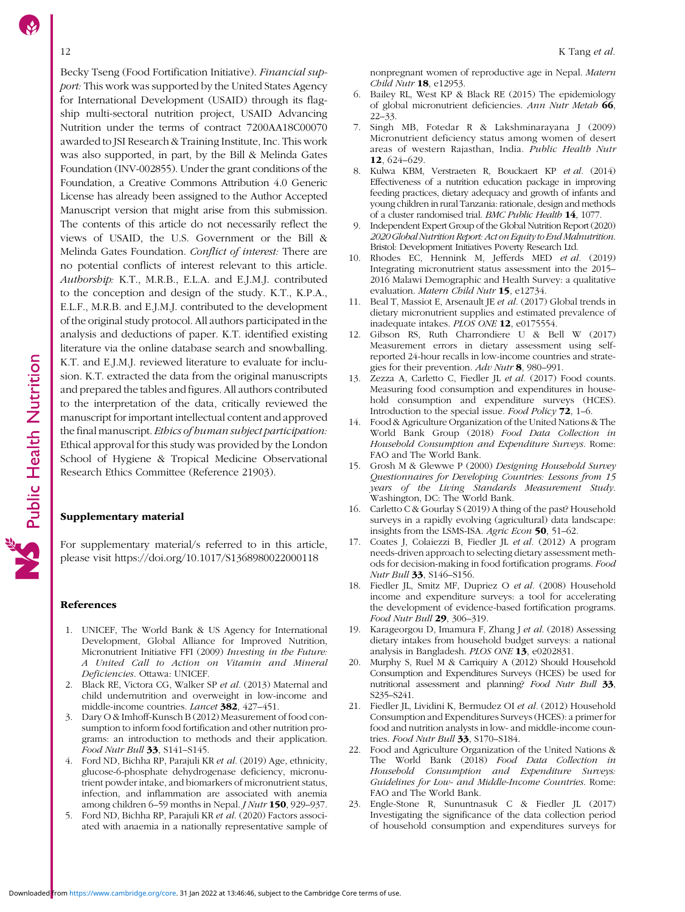<span id="page-11-0"></span>Becky Tseng (Food Fortification Initiative). Financial support: This work was supported by the United States Agency for International Development (USAID) through its flagship multi-sectoral nutrition project, USAID Advancing Nutrition under the terms of contract 7200AA18C00070 awarded to JSI Research & Training Institute, Inc. This work was also supported, in part, by the Bill & Melinda Gates Foundation (INV-002855). Under the grant conditions of the Foundation, a Creative Commons Attribution 4.0 Generic License has already been assigned to the Author Accepted Manuscript version that might arise from this submission. The contents of this article do not necessarily reflect the views of USAID, the U.S. Government or the Bill & Melinda Gates Foundation. Conflict of interest: There are no potential conflicts of interest relevant to this article. Authorship: K.T., M.R.B., E.L.A. and E.J.M.J. contributed to the conception and design of the study. K.T., K.P.A., E.L.F., M.R.B. and E.J.M.J. contributed to the development of the original study protocol. All authors participated in the analysis and deductions of paper. K.T. identified existing literature via the online database search and snowballing. K.T. and E.J.M.J. reviewed literature to evaluate for inclusion. K.T. extracted the data from the original manuscripts and prepared the tables and figures. All authors contributed to the interpretation of the data, critically reviewed the manuscript for important intellectual content and approved the final manuscript. Ethics of human subject participation: Ethical approval for this study was provided by the London School of Hygiene & Tropical Medicine Observational Research Ethics Committee (Reference 21903).

# Supplementary material

For supplementary material/s referred to in this article, please visit<https://doi.org/10.1017/S1368980022000118>

#### References

Public Health Nutrition

- 1. UNICEF, The World Bank & US Agency for International Development, Global Alliance for Improved Nutrition, Micronutrient Initiative FFI (2009) Investing in the Future: A United Call to Action on Vitamin and Mineral Deficiencies. Ottawa: UNICEF.
- 2. Black RE, Victora CG, Walker SP et al. (2013) Maternal and child undernutrition and overweight in low-income and middle-income countries. Lancet 382, 427–451.
- 3. Dary O & Imhoff-Kunsch B (2012) Measurement of food consumption to inform food fortification and other nutrition programs: an introduction to methods and their application. Food Nutr Bull 33, S141–S145.
- 4. Ford ND, Bichha RP, Parajuli KR et al. (2019) Age, ethnicity, glucose-6-phosphate dehydrogenase deficiency, micronutrient powder intake, and biomarkers of micronutrient status, infection, and inflammation are associated with anemia among children 6–59 months in Nepal. J Nutr 150, 929–937.
- 5. Ford ND, Bichha RP, Parajuli KR et al. (2020) Factors associated with anaemia in a nationally representative sample of

nonpregnant women of reproductive age in Nepal. Matern Child Nutr 18, e12953.

- 6. Bailey RL, West KP & Black RE (2015) The epidemiology of global micronutrient deficiencies. Ann Nutr Metab 66, 22–33.
- 7. Singh MB, Fotedar R & Lakshminarayana J (2009) Micronutrient deficiency status among women of desert areas of western Rajasthan, India. Public Health Nutr 12, 624–629.
- 8. Kulwa KBM, Verstraeten R, Bouckaert KP et al. (2014) Effectiveness of a nutrition education package in improving feeding practices, dietary adequacy and growth of infants and young children in rural Tanzania: rationale, design and methods of a cluster randomised trial. BMC Public Health 14, 1077.
- 9. Independent Expert Group of the Global Nutrition Report (2020) 2020Global Nutrition Report: Act on Equityto End Malnutrition. Bristol: Development Initiatives Poverty Research Ltd.
- 10. Rhodes EC, Hennink M, Jefferds MED et al. (2019) Integrating micronutrient status assessment into the 2015– 2016 Malawi Demographic and Health Survey: a qualitative evaluation. Matern Child Nutr 15, e12734.
- 11. Beal T, Massiot E, Arsenault JE et al. (2017) Global trends in dietary micronutrient supplies and estimated prevalence of inadequate intakes. PLOS ONE 12, e0175554.
- 12. Gibson RS, Ruth Charrondiere U & Bell W (2017) Measurement errors in dietary assessment using selfreported 24-hour recalls in low-income countries and strategies for their prevention. Adv Nutr 8, 980–991.
- 13. Zezza A, Carletto C, Fiedler JL et al. (2017) Food counts. Measuring food consumption and expenditures in household consumption and expenditure surveys (HCES). Introduction to the special issue. Food Policy 72, 1–6.
- Food & Agriculture Organization of the United Nations & The World Bank Group (2018) Food Data Collection in Household Consumption and Expenditure Surveys. Rome: FAO and The World Bank.
- 15. Grosh M & Glewwe P (2000) Designing Household Survey Questionnaires for Developing Countries: Lessons from 15 years of the Living Standards Measurement Study. Washington, DC: The World Bank.
- 16. Carletto C & Gourlay S (2019) A thing of the past? Household surveys in a rapidly evolving (agricultural) data landscape: insights from the LSMS-ISA. Agric Econ 50, 51–62.
- 17. Coates J, Colaiezzi B, Fiedler JL et al. (2012) A program needs-driven approach to selecting dietary assessment methods for decision-making in food fortification programs. Food Nutr Bull 33, S146–S156.
- 18. Fiedler JL, Smitz MF, Dupriez O et al. (2008) Household income and expenditure surveys: a tool for accelerating the development of evidence-based fortification programs. Food Nutr Bull 29, 306–319.
- 19. Karageorgou D, Imamura F, Zhang J et al. (2018) Assessing dietary intakes from household budget surveys: a national analysis in Bangladesh. PLOS ONE 13, e0202831.
- 20. Murphy S, Ruel M & Carriquiry A (2012) Should Household Consumption and Expenditures Surveys (HCES) be used for nutritional assessment and planning? Food Nutr Bull 33, S235–S241.
- 21. Fiedler JL, Lividini K, Bermudez OI et al. (2012) Household Consumption and Expenditures Surveys (HCES): a primer for food and nutrition analysts in low- and middle-income countries. Food Nutr Bull 33, S170-S184.
- 22. Food and Agriculture Organization of the United Nations & The World Bank (2018) Food Data Collection in Household Consumption and Expenditure Surveys: Guidelines for Low- and Middle-Income Countries. Rome: FAO and The World Bank.
- 23. Engle-Stone R, Sununtnasuk C & Fiedler JL (2017) Investigating the significance of the data collection period of household consumption and expenditures surveys for

Downloaded from<https://www.cambridge.org/core>. 31 Jan 2022 at 13:46:46, subject to the Cambridge Core terms of use.